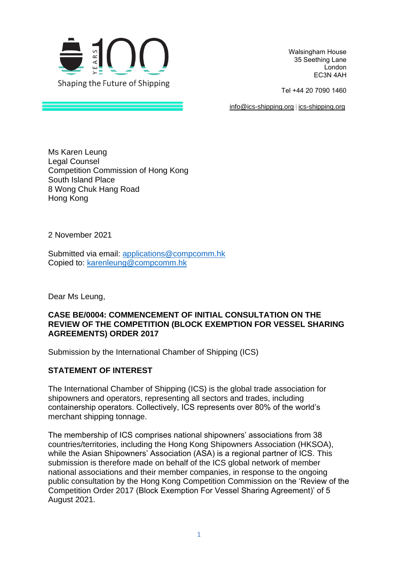

Walsingham House  35 Seething Lane  London  EC3N 4AH 

Tel +44 20 7090 1460 

[info@ics-shipping.org](mailto:info@ics-shipping.org) [| ics-shipping.org](http://www.ics-shipping.org/)

Ms Karen Leung Legal Counsel Competition Commission of Hong Kong South Island Place 8 Wong Chuk Hang Road Hong Kong

2 November 2021

Submitted via email: [applications@compcomm.hk](mailto:applications@compcomm.hk) Copied to: [karenleung@compcomm.hk](mailto:karenleung@compcomm.hk)

Dear Ms Leung,

#### **CASE BE/0004: COMMENCEMENT OF INITIAL CONSULTATION ON THE REVIEW OF THE COMPETITION (BLOCK EXEMPTION FOR VESSEL SHARING AGREEMENTS) ORDER 2017**

Submission by the International Chamber of Shipping (ICS)

### **STATEMENT OF INTEREST**

The International Chamber of Shipping (ICS) is the global trade association for shipowners and operators, representing all sectors and trades, including containership operators. Collectively, ICS represents over 80% of the world's merchant shipping tonnage.

The membership of ICS comprises national shipowners' associations from 38 countries/territories, including the Hong Kong Shipowners Association (HKSOA), while the Asian Shipowners' Association (ASA) is a regional partner of ICS. This submission is therefore made on behalf of the ICS global network of member national associations and their member companies, in response to the ongoing public consultation by the Hong Kong Competition Commission on the 'Review of the Competition Order 2017 (Block Exemption For Vessel Sharing Agreement)' of 5 August 2021.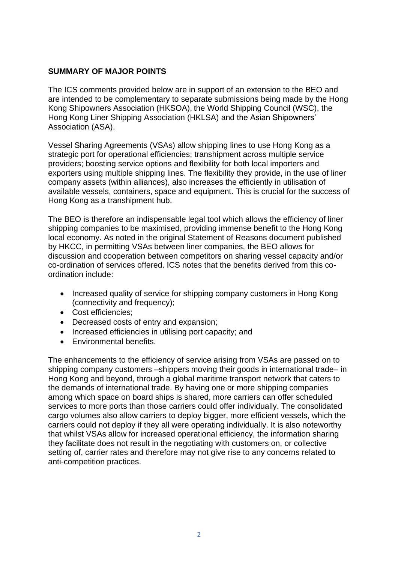# **SUMMARY OF MAJOR POINTS**

The ICS comments provided below are in support of an extension to the BEO and are intended to be complementary to separate submissions being made by the Hong Kong Shipowners Association (HKSOA), the World Shipping Council (WSC), the Hong Kong Liner Shipping Association (HKLSA) and the Asian Shipowners' Association (ASA).

Vessel Sharing Agreements (VSAs) allow shipping lines to use Hong Kong as a strategic port for operational efficiencies; transhipment across multiple service providers; boosting service options and flexibility for both local importers and exporters using multiple shipping lines. The flexibility they provide, in the use of liner company assets (within alliances), also increases the efficiently in utilisation of available vessels, containers, space and equipment. This is crucial for the success of Hong Kong as a transhipment hub.

The BEO is therefore an indispensable legal tool which allows the efficiency of liner shipping companies to be maximised, providing immense benefit to the Hong Kong local economy. As noted in the original Statement of Reasons document published by HKCC, in permitting VSAs between liner companies, the BEO allows for discussion and cooperation between competitors on sharing vessel capacity and/or co-ordination of services offered. ICS notes that the benefits derived from this coordination include:

- Increased quality of service for shipping company customers in Hong Kong (connectivity and frequency);
- Cost efficiencies;
- Decreased costs of entry and expansion;
- Increased efficiencies in utilising port capacity; and
- Environmental benefits.

The enhancements to the efficiency of service arising from VSAs are passed on to shipping company customers –shippers moving their goods in international trade– in Hong Kong and beyond, through a global maritime transport network that caters to the demands of international trade. By having one or more shipping companies among which space on board ships is shared, more carriers can offer scheduled services to more ports than those carriers could offer individually. The consolidated cargo volumes also allow carriers to deploy bigger, more efficient vessels, which the carriers could not deploy if they all were operating individually. It is also noteworthy that whilst VSAs allow for increased operational efficiency, the information sharing they facilitate does not result in the negotiating with customers on, or collective setting of, carrier rates and therefore may not give rise to any concerns related to anti-competition practices.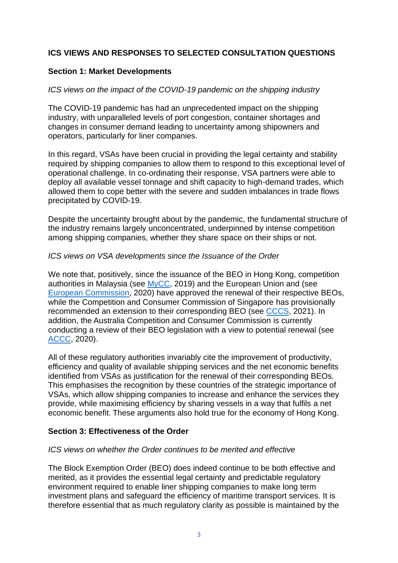# **ICS VIEWS AND RESPONSES TO SELECTED CONSULTATION QUESTIONS**

### **Section 1: Market Developments**

### *ICS views on the impact of the COVID-19 pandemic on the shipping industry*

The COVID-19 pandemic has had an unprecedented impact on the shipping industry, with unparalleled levels of port congestion, container shortages and changes in consumer demand leading to uncertainty among shipowners and operators, particularly for liner companies.

In this regard, VSAs have been crucial in providing the legal certainty and stability required by shipping companies to allow them to respond to this exceptional level of operational challenge. In co-ordinating their response, VSA partners were able to deploy all available vessel tonnage and shift capacity to high-demand trades, which allowed them to cope better with the severe and sudden imbalances in trade flows precipitated by COVID-19.

Despite the uncertainty brought about by the pandemic, the fundamental structure of the industry remains largely unconcentrated, underpinned by intense competition among shipping companies, whether they share space on their ships or not.

#### *ICS views on VSA developments since the Issuance of the Order*

We note that, positively, since the issuance of the BEO in Hong Kong, competition authorities in Malaysia (see [MyCC,](https://www.mycc.gov.my/sites/default/files/Perintah%20Persaingan%20(Pengecualian%20Blok%20bagi%20Perjanjian%20Perkongsian%20Vesel%20berkenaan%20dengan%20Perkhidmatan%20Pelayaran%20Tetap%20melalui%20Pengangkutan%20Laut)%202019.pdf) 2019) and the European Union and (see [European Commission,](https://eur-lex.europa.eu/legal-content/EN/TXT/PDF/?uri=CELEX:32020R0436&from=EN) 2020) have approved the renewal of their respective BEOs, while the Competition and Consumer Commission of Singapore has provisionally recommended an extension to their corresponding BEO (see [CCCS,](https://www.cccs.gov.sg/media-and-consultation/newsroom/media-releases/cccs-consults-on-proposed-recommendation-for--block-exemption-order-for-liner-shipping-agreements-14-july-2021) 2021). In addition, the Australia Competition and Consumer Commission is currently conducting a review of their BEO legislation with a view to potential renewal (see [ACCC,](https://www.accc.gov.au/system/files/public-registers/documents/ACCC%20discussion%20paper%20-%20ocean%20liner%20shipping%20class%20exemption.pdf) 2020).

All of these regulatory authorities invariably cite the improvement of productivity, efficiency and quality of available shipping services and the net economic benefits identified from VSAs as justification for the renewal of their corresponding BEOs. This emphasises the recognition by these countries of the strategic importance of VSAs, which allow shipping companies to increase and enhance the services they provide, while maximising efficiency by sharing vessels in a way that fulfils a net economic benefit. These arguments also hold true for the economy of Hong Kong.

#### **Section 3: Effectiveness of the Order**

#### *ICS views on whether the Order continues to be merited and effective*

The Block Exemption Order (BEO) does indeed continue to be both effective and merited, as it provides the essential legal certainty and predictable regulatory environment required to enable liner shipping companies to make long term investment plans and safeguard the efficiency of maritime transport services. It is therefore essential that as much regulatory clarity as possible is maintained by the